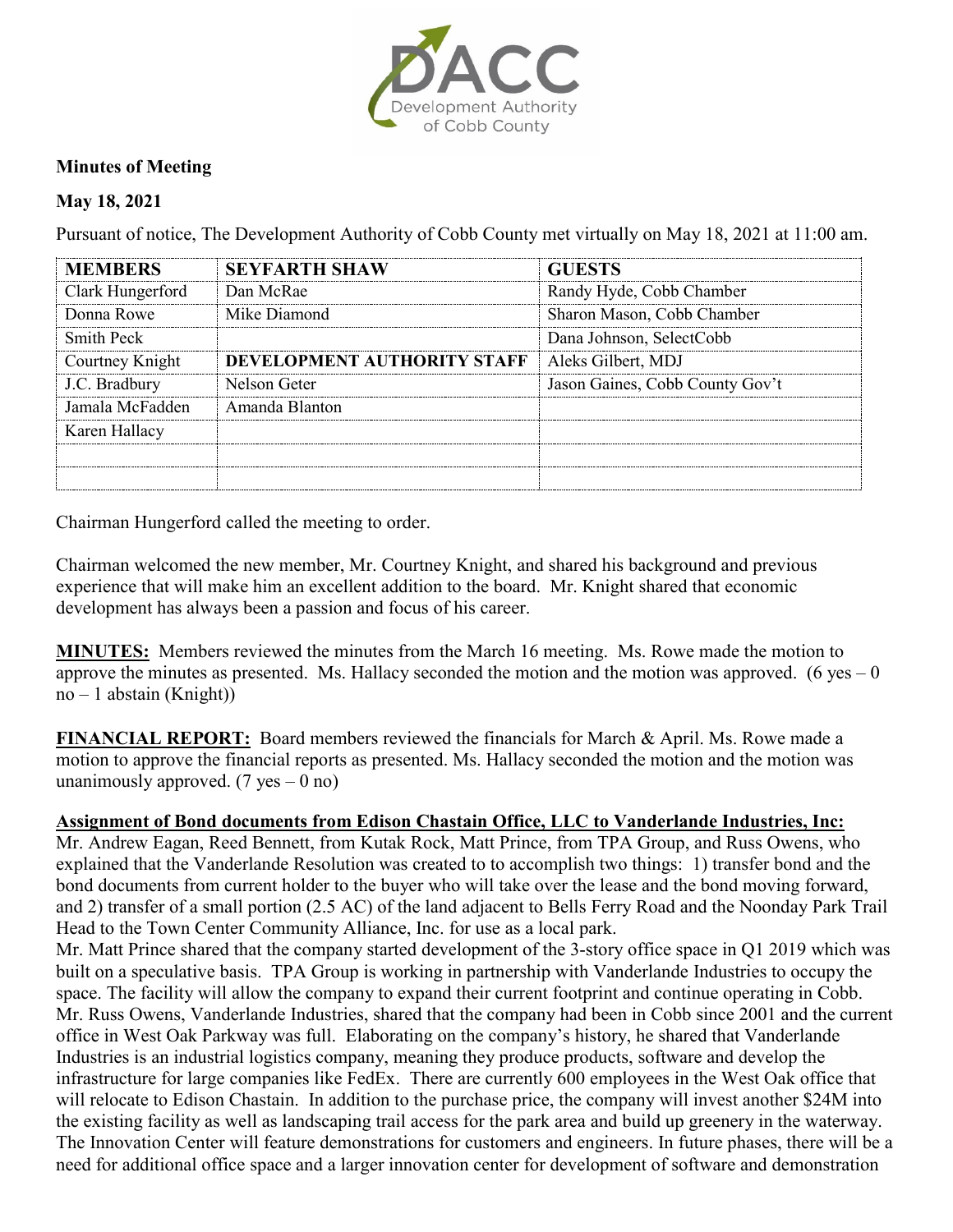

## **Minutes of Meeting**

## **May 18, 2021**

Pursuant of notice, The Development Authority of Cobb County met virtually on May 18, 2021 at 11:00 am.

| <b>MEMBERS</b>   | <b>SEYFARTH SHAW</b>        | <b>GUESTS</b>                   |
|------------------|-----------------------------|---------------------------------|
| Clark Hungerford | Dan McRae                   | Randy Hyde, Cobb Chamber        |
| Donna Rowe       | Mike Diamond                | Sharon Mason, Cobb Chamber      |
| Smith Peck       |                             | Dana Johnson, SelectCobb        |
| Courtney Knight  | DEVELOPMENT AUTHORITY STAFF | Aleks Gilbert, MDJ              |
| J.C. Bradbury    | Nelson Geter                | Jason Gaines, Cobb County Gov't |
| Jamala McFadden  | Amanda Blanton              |                                 |
| Karen Hallacy    |                             |                                 |
|                  |                             |                                 |
|                  |                             |                                 |

Chairman Hungerford called the meeting to order.

Chairman welcomed the new member, Mr. Courtney Knight, and shared his background and previous experience that will make him an excellent addition to the board. Mr. Knight shared that economic development has always been a passion and focus of his career.

**MINUTES:** Members reviewed the minutes from the March 16 meeting. Ms. Rowe made the motion to approve the minutes as presented. Ms. Hallacy seconded the motion and the motion was approved. (6 yes  $-0$ )  $no - 1$  abstain (Knight))

**FINANCIAL REPORT:** Board members reviewed the financials for March & April. Ms. Rowe made a motion to approve the financial reports as presented. Ms. Hallacy seconded the motion and the motion was unanimously approved.  $(7 \text{ yes} - 0 \text{ no})$ 

## **Assignment of Bond documents from Edison Chastain Office, LLC to Vanderlande Industries, Inc:**

Mr. Andrew Eagan, Reed Bennett, from Kutak Rock, Matt Prince, from TPA Group, and Russ Owens, who explained that the Vanderlande Resolution was created to to accomplish two things: 1) transfer bond and the bond documents from current holder to the buyer who will take over the lease and the bond moving forward, and 2) transfer of a small portion (2.5 AC) of the land adjacent to Bells Ferry Road and the Noonday Park Trail Head to the Town Center Community Alliance, Inc. for use as a local park.

Mr. Matt Prince shared that the company started development of the 3-story office space in Q1 2019 which was built on a speculative basis. TPA Group is working in partnership with Vanderlande Industries to occupy the space. The facility will allow the company to expand their current footprint and continue operating in Cobb. Mr. Russ Owens, Vanderlande Industries, shared that the company had been in Cobb since 2001 and the current office in West Oak Parkway was full. Elaborating on the company's history, he shared that Vanderlande Industries is an industrial logistics company, meaning they produce products, software and develop the infrastructure for large companies like FedEx. There are currently 600 employees in the West Oak office that will relocate to Edison Chastain. In addition to the purchase price, the company will invest another \$24M into the existing facility as well as landscaping trail access for the park area and build up greenery in the waterway. The Innovation Center will feature demonstrations for customers and engineers. In future phases, there will be a need for additional office space and a larger innovation center for development of software and demonstration